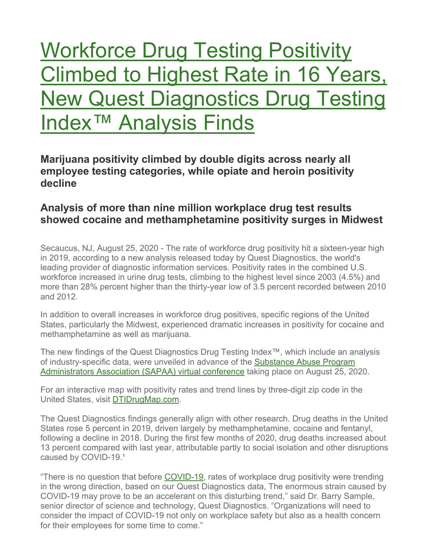# Workforce Drug Testing Positivity Climbed to Highest Rate in 16 Years, New Quest Diagnostics Drug Testing Index™ Analysis Finds

**Marijuana positivity climbed by double digits across nearly all employee testing categories, while opiate and heroin positivity decline**

#### **Analysis of more than nine million workplace drug test results showed cocaine and methamphetamine positivity surges in Midwest**

Secaucus, NJ, August 25, 2020 - The rate of workforce drug positivity hit a sixteen-year high in 2019, according to a new analysis released today by Quest Diagnostics, the world's leading provider of diagnostic information services. Positivity rates in the combined U.S. workforce increased in urine drug tests, climbing to the highest level since 2003 (4.5%) and more than 28% percent higher than the thirty-year low of 3.5 percent recorded between 2010 and 2012.

In addition to overall increases in workforce drug positives, specific regions of the United States, particularly the Midwest, experienced dramatic increases in positivity for cocaine and methamphetamine as well as marijuana.

The new findings of the Quest Diagnostics Drug Testing Index™, which include an analysis of industry-specific data, were unveiled in advance of the Substance Abuse Program Administrators Association (SAPAA) virtual conference taking place on August 25, 2020.

For an interactive map with positivity rates and trend lines by three-digit zip code in the United States, visit DTIDrugMap.com.

The Quest Diagnostics findings generally align with other research. Drug deaths in the United States rose 5 percent in 2019, driven largely by methamphetamine, cocaine and fentanyl, following a decline in 2018. During the first few months of 2020, drug deaths increased about 13 percent compared with last year, attributable partly to social isolation and other disruptions caused by COVID-19.1

"There is no question that before COVID-19, rates of workplace drug positivity were trending in the wrong direction, based on our Quest Diagnostics data, The enormous strain caused by COVID-19 may prove to be an accelerant on this disturbing trend," said Dr. Barry Sample, senior director of science and technology, Quest Diagnostics. "Organizations will need to consider the impact of COVID-19 not only on workplace safety but also as a health concern for their employees for some time to come."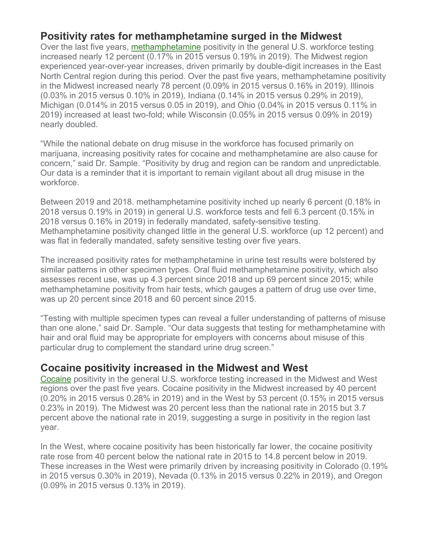#### **Positivity rates for methamphetamine surged in the Midwest**

Over the last five years, methamphetamine positivity in the general U.S. workforce testing increased nearly 12 percent (0.17% in 2015 versus 0.19% in 2019). The Midwest region experienced year-over-year increases, driven primarily by double-digit increases in the East North Central region during this period. Over the past five years, methamphetamine positivity in the Midwest increased nearly 78 percent (0.09% in 2015 versus 0.16% in 2019). Illinois (0.03% in 2015 versus 0.10% in 2019), Indiana (0.14% in 2015 versus 0.29% in 2019), Michigan (0.014% in 2015 versus 0.05 in 2019), and Ohio (0.04% in 2015 versus 0.11% in 2019) increased at least two-fold; while Wisconsin (0.05% in 2015 versus 0.09% in 2019) nearly doubled.

"While the national debate on drug misuse in the workforce has focused primarily on marijuana, increasing positivity rates for cocaine and methamphetamine are also cause for concern," said Dr. Sample. "Positivity by drug and region can be random and unpredictable. Our data is a reminder that it is important to remain vigilant about all drug misuse in the workforce.

Between 2019 and 2018. methamphetamine positivity inched up nearly 6 percent (0.18% in 2018 versus 0.19% in 2019) in general U.S. workforce tests and fell 6.3 percent (0.15% in 2018 versus 0.16% in 2019) in federally mandated, safety-sensitive testing. Methamphetamine positivity changed little in the general U.S. workforce (up 12 percent) and was flat in federally mandated, safety sensitive testing over five years.

The increased positivity rates for methamphetamine in urine test results were bolstered by similar patterns in other specimen types. Oral fluid methamphetamine positivity, which also assesses recent use, was up 4.3 percent since 2018 and up 69 percent since 2015; while methamphetamine positivity from hair tests, which gauges a pattern of drug use over time, was up 20 percent since 2018 and 60 percent since 2015.

"Testing with multiple specimen types can reveal a fuller understanding of patterns of misuse than one alone," said Dr. Sample. "Our data suggests that testing for methamphetamine with hair and oral fluid may be appropriate for employers with concerns about misuse of this particular drug to complement the standard urine drug screen."

#### **Cocaine positivity increased in the Midwest and West**

Cocaine positivity in the general U.S. workforce testing increased in the Midwest and West regions over the past five years. Cocaine positivity in the Midwest increased by 40 percent (0.20% in 2015 versus 0.28% in 2019) and in the West by 53 percent (0.15% in 2015 versus 0.23% in 2019). The Midwest was 20 percent less than the national rate in 2015 but 3.7 percent above the national rate in 2019, suggesting a surge in positivity in the region last year.

In the West, where cocaine positivity has been historically far lower, the cocaine positivity rate rose from 40 percent below the national rate in 2015 to 14.8 percent below in 2019. These increases in the West were primarily driven by increasing positivity in Colorado (0.19% in 2015 versus 0.30% in 2019), Nevada (0.13% in 2015 versus 0.22% in 2019), and Oregon (0.09% in 2015 versus 0.13% in 2019).